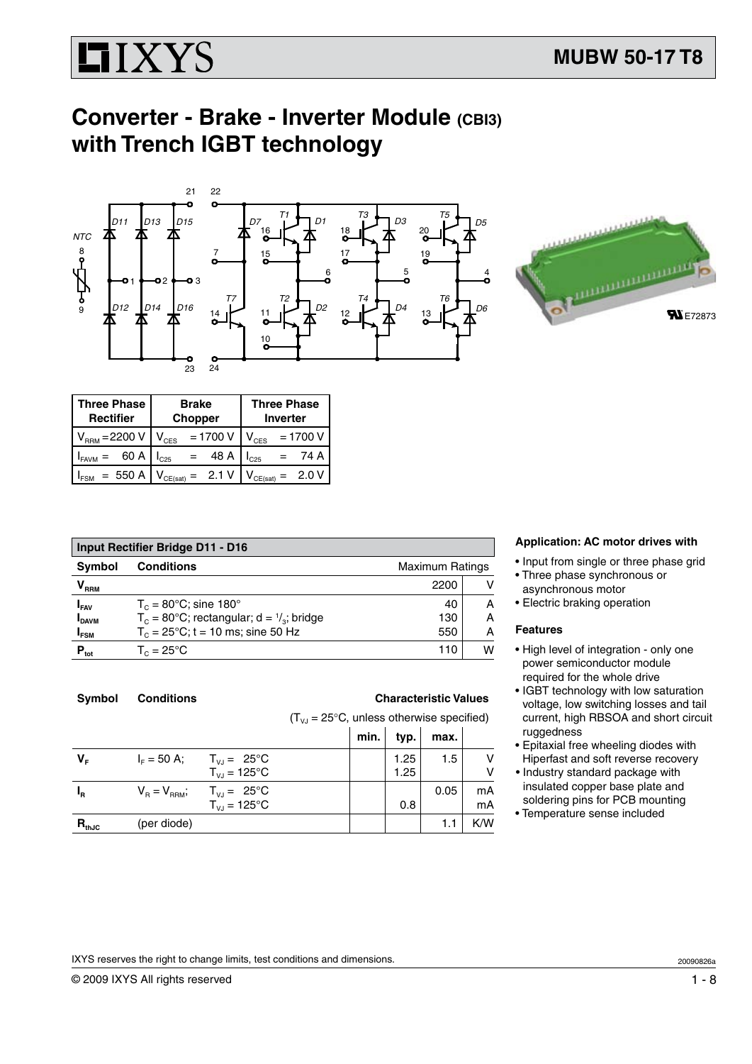

# **Converter - Brake - Inverter Module (CBI3) with Trench IGBT technology**



| <b>Three Phase</b>            | <b>Brake</b>            | <b>Three Phase</b>             |  |
|-------------------------------|-------------------------|--------------------------------|--|
| <b>Rectifier</b>              | <b>Chopper</b>          | <b>Inverter</b>                |  |
| $V_{RRM} = 2200 V$            | $= 1700 V$<br>$V_{CES}$ | $= 1700 V$<br>$V_{\text{CES}}$ |  |
| 60 A                          | 48 A                    | 74 A                           |  |
| <b>I</b> <sub>FAVM</sub>      | $L_{C25}$               | C25                            |  |
| $= 550 A$<br>I <sub>FSM</sub> | 2.1 V<br>$V_{CE(sat)}$  | CE(sat)                        |  |

| <b>Input Rectifier Bridge D11 - D16</b> |                                                               |      |   |  |  |
|-----------------------------------------|---------------------------------------------------------------|------|---|--|--|
| <b>Symbol</b>                           | <b>Conditions</b><br><b>Maximum Ratings</b>                   |      |   |  |  |
| $\bm{{\mathsf{V}}}_{\text{\tiny{RRM}}}$ |                                                               | 2200 | v |  |  |
| $I_{FAV}$                               | $T_c = 80$ °C; sine 180°                                      | 40   | A |  |  |
| <b>I</b> DAVM                           | $T_c = 80^{\circ}$ C; rectangular; d = $\frac{1}{3}$ ; bridge | 130  | Α |  |  |
| $I_{FSM}$                               | $T_c = 25^{\circ}$ C; t = 10 ms; sine 50 Hz                   | 550  | Α |  |  |
| $P_{\text{tot}}$                        | $T_c = 25^{\circ}$ C                                          | 110  | W |  |  |

# **Application: AC motor drives with**

- • Input from single or three phase grid
- Three phase synchronous or asynchronous motor
- Electric braking operation

### **Features**

- High level of integration only one power semiconductor module required for the whole drive
- IGBT technology with low saturation voltage, low switching losses and tail current, high RBSOA and short circuit ruggedness
- Epitaxial free wheeling diodes with Hiperfast and soft reverse recovery
- Industry standard package with insulated copper base plate and soldering pins for PCB mounting
- Temperature sense included

| Symbol | <b>Conditions</b> |
|--------|-------------------|

**S Characteristic Values** 

 $(T_{\text{V}} = 25^{\circ} \text{C}$ , unless otherwise specified)

|                                                          | $1.1V_1 - 2.3V_2 - 3.0V_1 - 3.0V_2 - 3.0V_1 - 3.0V_2 - 3.0V_1 - 3.0V_2 - 3.0V_2 - 3.0V_2 - 3.0V_2 - 3.0V_2 - 3.0V_2 - 3.0V_2 - 3.0V_2 - 3.0V_2 - 3.0V_2 - 3.0V_2 - 3.0V_2 - 3.0V_2 - 3.0V_2 - 3.0V_2 - 3.0V_2 - 3.0V_2 - 3.0V_2 - 3.0V_2 - 3.0V_2 - 3.0V$ |      |              |      |          |
|----------------------------------------------------------|-----------------------------------------------------------------------------------------------------------------------------------------------------------------------------------------------------------------------------------------------------------|------|--------------|------|----------|
|                                                          |                                                                                                                                                                                                                                                           | min. | typ.         | max. |          |
| $T_{\text{vJ}} = 25^{\circ}C$<br>$T_{VJ} = 125^{\circ}C$ |                                                                                                                                                                                                                                                           |      | 1.25<br>1.25 | 1.5  | V<br>٧   |
| $T_{VJ} = 125^{\circ}C$                                  |                                                                                                                                                                                                                                                           |      | 0.8          | 0.05 | mA<br>mA |
|                                                          |                                                                                                                                                                                                                                                           |      |              | 1.1  | K/W      |
|                                                          | $I_{F} = 50$ A;<br>$V_B = V_{RBM}$ ; $T_{VJ} = 25^{\circ}C$<br>(per diode)                                                                                                                                                                                |      |              |      |          |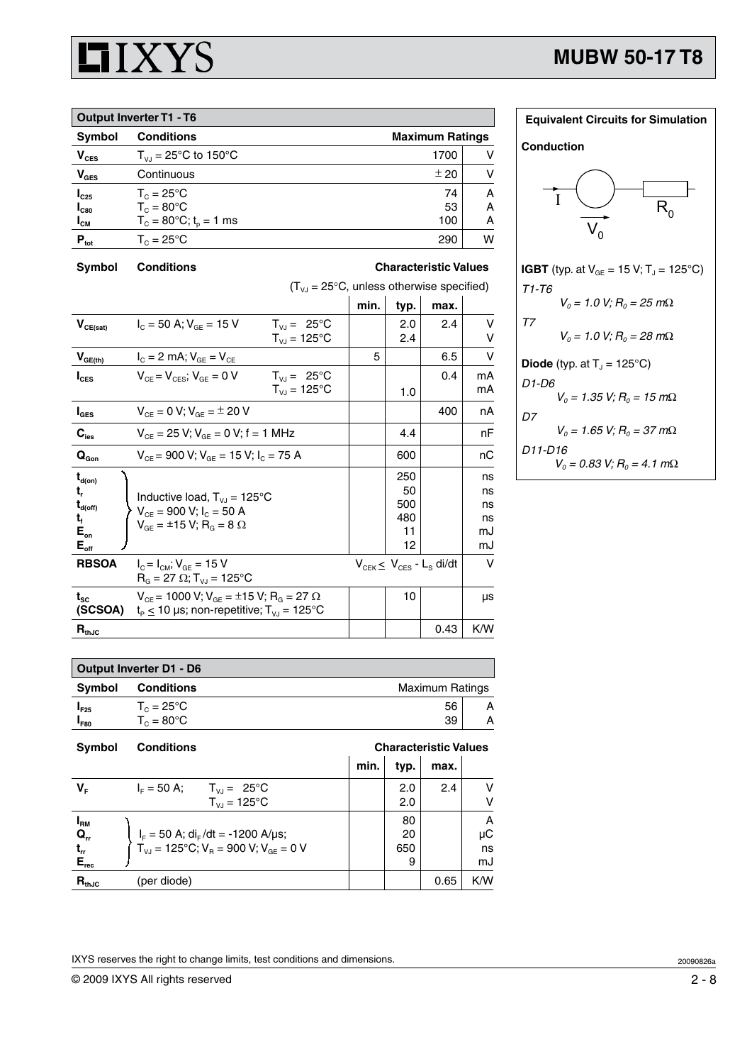

| <b>Output Inverter T1 - T6</b> |                                             |      |   |  |  |
|--------------------------------|---------------------------------------------|------|---|--|--|
| Symbol                         | <b>Conditions</b><br><b>Maximum Ratings</b> |      |   |  |  |
| $V_{\text{CES}}$               | $T_{V1} = 25^{\circ}C$ to 150°C             | 1700 |   |  |  |
| $V_{\text{GES}}$               | Continuous                                  | ± 20 |   |  |  |
| $I_{C25}$                      | $T_c = 25^{\circ}$ C                        | 74   | А |  |  |
| $I_{C80}$                      | $T_c = 80^{\circ}$ C                        | 53   | А |  |  |
| $I_{\text{CM}}$                | $T_c = 80^{\circ}$ C; t <sub>o</sub> = 1 ms | 100  | А |  |  |
| $P_{\text{tot}}$               | $T_c = 25^{\circ}$ C                        | 290  | W |  |  |

# **Symbol Conditions Characteristic Values**

 $(T_{\nu J} = 25^{\circ}C$ , unless otherwise specified) **min. typ. max.**

|                                                                                           |                                                                                                                               |                                             |   | יין ני                              |                                    |                                  |
|-------------------------------------------------------------------------------------------|-------------------------------------------------------------------------------------------------------------------------------|---------------------------------------------|---|-------------------------------------|------------------------------------|----------------------------------|
| $\mathbf{V}_{\text{CE(sat)}}$                                                             | $I_c = 50$ A; $V_{GE} = 15$ V                                                                                                 | $T_{VJ} = 25^{\circ}C$<br>$T_{VJ} = 125$ °C |   | 2.0<br>2.4                          | 2.4                                | v<br>v                           |
| $V_{GE(\underline{th})}$                                                                  | $I_{C} = 2$ mA; $V_{GE} = V_{CE}$                                                                                             |                                             | 5 |                                     | 6.5                                | $\vee$                           |
| $I_{\text{CES}}$                                                                          | $V_{CF} = V_{CFS}$ ; $V_{GF} = 0 V$                                                                                           | $T_{VJ} = 25^{\circ}C$<br>$T_{VJ} = 125$ °C |   | 1.0                                 | 0.4                                | mA<br>mA                         |
| $I_{\texttt{GES}}$                                                                        | $V_{CF} = 0 V$ ; $V_{GF} = \pm 20 V$                                                                                          |                                             |   |                                     | 400                                | nA                               |
| $\mathbf{C}_{\mathrm{ies}}$                                                               | $V_{CE}$ = 25 V; $V_{GE}$ = 0 V; f = 1 MHz                                                                                    |                                             |   | 4.4                                 |                                    | nF                               |
| $\mathbf{Q}_\text{Gon}$                                                                   | $V_{CE}$ = 900 V; $V_{GE}$ = 15 V; $I_C$ = 75 A                                                                               |                                             |   | 600                                 |                                    | nС                               |
| $t_{d(on)}$<br>t,<br>$t_{d(\text{off})}$<br>t,<br>$E_{on}$<br>$\mathsf{E}_{\mathsf{off}}$ | Inductive load, $T_{VJ} = 125^{\circ}C$<br>$V_{CF}$ = 900 V; $I_C$ = 50 A<br>$V_{GE} = \pm 15 \text{ V}; R_{G} = 8 \Omega$    |                                             |   | 250<br>50<br>500<br>480<br>11<br>12 |                                    | ns<br>ns<br>ns<br>ns<br>mJ<br>mJ |
| <b>RBSOA</b>                                                                              | $I_{C} = I_{CM}$ ; $V_{GE} = 15$ V<br>$R_{G} = 27 \Omega$ ; T <sub>vJ</sub> = 125°C                                           |                                             |   |                                     | $V_{CEK} \leq V_{CES} - L_S$ di/dt | v                                |
| $t_{\rm sc}$<br>(SCSOA)                                                                   | $V_{CE}$ = 1000 V; $V_{GE}$ = ±15 V; R <sub>G</sub> = 27 $\Omega$<br>$t_P \le 10$ µs; non-repetitive; $T_{VJ} = 125^{\circ}C$ |                                             |   | 10                                  |                                    | μs                               |
| $R_{thJC}$                                                                                |                                                                                                                               |                                             |   |                                     | 0.43                               | K/W                              |

| <b>Equivalent Circuits for Simulation</b>                      |
|----------------------------------------------------------------|
| Conduction                                                     |
| T                                                              |
| <b>IGBT</b> (typ. at $V_{GE} = 15 V$ ; T <sub>J</sub> = 125°C) |
| T1-T6                                                          |
| $V_0 = 1.0$ V; $R_0 = 25$ m $\Omega$                           |
| T <sub>7</sub>                                                 |
| $V_0 = 1.0$ V; $R_0 = 28$ m $\Omega$                           |
| <b>Diode</b> (typ. at $Tj = 125^{\circ}C$ )                    |
| D1-D6                                                          |
| $V_0 = 1.35$ V; $R_0 = 15$ m $\Omega$                          |
| D7                                                             |
| $V_0 = 1.65$ V; $R_0 = 37$ m $\Omega$                          |
| D11-D16                                                        |
| $V_0 = 0.83$ V; $R_0 = 4.1$ m $\Omega$                         |

| Output Inverter D1 - D6 |                      |                        |   |  |
|-------------------------|----------------------|------------------------|---|--|
| <b>Symbol</b>           | <b>Conditions</b>    | <b>Maximum Ratings</b> |   |  |
| $I_{F25}$               | $T_c = 25^{\circ}$ C | 56                     | А |  |
| <sup>1</sup> F80        | $T_c = 80^{\circ}$ C | 39                     | А |  |

| <b>Symbol</b>                                      | <b>Conditions</b>                                        | <b>Characteristic Values</b> |      |      |     |
|----------------------------------------------------|----------------------------------------------------------|------------------------------|------|------|-----|
|                                                    |                                                          | min.                         | typ. | max. |     |
| $V_{\rm F}$                                        | $I_{E} = 50 A$ ;<br>$T_{VJ} = 25^{\circ}C$               |                              | 2.0  | 2.4  | v   |
|                                                    | $T_{V1} = 125$ °C                                        |                              | 2.0  |      | v   |
| $I_{\rm RM}$                                       |                                                          |                              | 80   |      | A   |
| $Q_{rr}$                                           | $I_F = 50$ A; di <sub>F</sub> /dt = -1200 A/µs;          |                              | 20   |      | μC  |
| $\frac{\mathbf{t}_{\rm rr}}{\mathbf{E}_{\rm rec}}$ | $T_{V,1} = 125^{\circ}$ C; $V_B = 900$ V; $V_{GF} = 0$ V |                              | 650  |      | ns  |
|                                                    |                                                          |                              | 9    |      | mJ  |
| $R_{thJC}$                                         | (per diode)                                              |                              |      | 0.65 | K/W |

IXYS reserves the right to change limits, test conditions and dimensions.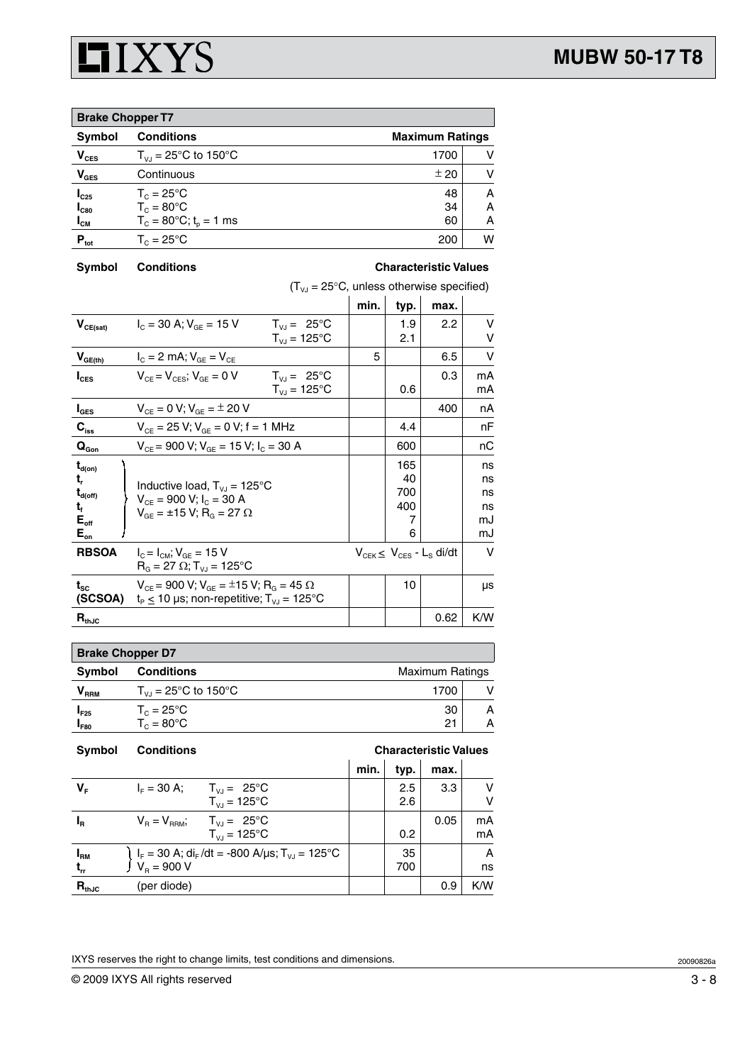

| <b>Brake Chopper T7</b> |                                             |      |   |  |  |
|-------------------------|---------------------------------------------|------|---|--|--|
| <b>Symbol</b>           | <b>Conditions</b><br><b>Maximum Ratings</b> |      |   |  |  |
| $V_{CES}$               | $T_{VJ}$ = 25°C to 150°C                    | 1700 | v |  |  |
| $V_{\text{GES}}$        | Continuous                                  | ± 20 | v |  |  |
| $I_{C25}$               | $T_c = 25^{\circ}$ C                        | 48   | A |  |  |
| $I_{C80}$               | $T_c = 80^{\circ}$ C                        | 34   | Α |  |  |
| $I_{CM}$                | $T_c = 80^{\circ}C$ ; $t_p = 1$ ms          | 60   | A |  |  |
| $P_{\text{tot}}$        | $T_c = 25^{\circ}$ C                        | 200  | w |  |  |

**Symbol Conditions Characteristic Values**

 $(T_{\nu J} = 25^{\circ}C$ , unless otherwise specified)

|                                                                                         |                                                                                                                                           |                                             | min. | typ.                              | max.                                       |                                  |
|-----------------------------------------------------------------------------------------|-------------------------------------------------------------------------------------------------------------------------------------------|---------------------------------------------|------|-----------------------------------|--------------------------------------------|----------------------------------|
| $V_{CE(sat)}$                                                                           | $I_c = 30$ A; $V_{cF} = 15$ V                                                                                                             | $T_{V1} = 25^{\circ}C$<br>$T_{VJ} = 125$ °C |      | 1.9<br>2.1                        | 2.2                                        | v<br>v                           |
| $V_{GE(th)}$                                                                            | $I_{C} = 2 \text{ mA}$ ; $V_{GF} = V_{CF}$                                                                                                |                                             | 5    |                                   | 6.5                                        | v                                |
| $I_{\text{CES}}$                                                                        | $V_{CF} = V_{CF}$ ; $V_{GF} = 0 V$                                                                                                        | $T_{V1} = 25^{\circ}C$<br>$T_{VJ} = 125$ °C |      | 0.6                               | 0.3                                        | mA<br>mA                         |
| $I_{\texttt{GES}}$                                                                      | $V_{CF} = 0 V$ ; $V_{GF} = \pm 20 V$                                                                                                      |                                             |      |                                   | 400                                        | nA                               |
| $C_{\text{iss}}$                                                                        | $V_{CF}$ = 25 V; $V_{GF}$ = 0 V; f = 1 MHz                                                                                                |                                             |      | 4.4                               |                                            | nF                               |
| $\mathbf{Q}_{\text{Gon}}$                                                               | $V_{CF}$ = 900 V; $V_{GF}$ = 15 V; $I_C$ = 30 A                                                                                           |                                             |      | 600                               |                                            | nС                               |
| $t_{d(on)}$<br>t,<br>$\mathbf{t}_{\text{d(off)}}$<br>t,<br>$E_{\text{off}}$<br>$E_{on}$ | Inductive load, $T_{VJ} = 125^{\circ}C$<br>$V_{CF}$ = 900 V; $I_C$ = 30 A<br>$V_{\text{CF}} = \pm 15 \text{ V}; R_{\text{G}} = 27 \Omega$ |                                             |      | 165<br>40<br>700<br>400<br>7<br>6 |                                            | ns<br>ns<br>ns<br>ns<br>mJ<br>mJ |
| <b>RBSOA</b>                                                                            | $I_{\odot} = I_{\odot M}$ ; $V_{\odot F} = 15$ V<br>$R_{\text{c}} = 27 \Omega$ ; T <sub>vJ</sub> = 125°C                                  |                                             |      |                                   | $V_{CEK} \leq V_{CES} - L_S \frac{di}{dt}$ | $\vee$                           |
| $t_{\rm sc}$<br>(SCSOA)                                                                 | $V_{CE}$ = 900 V; $V_{GE}$ = ±15 V; R <sub>G</sub> = 45 $\Omega$<br>$t_p \le 10$ µs; non-repetitive; $T_{v,i} = 125$ °C                   |                                             |      | 10                                |                                            | μs                               |
| $R_{thJC}$                                                                              |                                                                                                                                           |                                             |      |                                   | 0.62                                       | K/W                              |

| <b>Brake Chopper D7</b>     |                          |                        |   |  |  |
|-----------------------------|--------------------------|------------------------|---|--|--|
| <b>Symbol</b>               | <b>Conditions</b>        | <b>Maximum Ratings</b> |   |  |  |
| $\mathsf{V}_{\mathsf{RRM}}$ | $T_{V1}$ = 25°C to 150°C | 1700                   |   |  |  |
| $I_{F25}$                   | $T_c = 25^{\circ}$ C     | 30                     |   |  |  |
| $\mathbf{I}_{\mathsf{F80}}$ | $T_c = 80^{\circ}$ C     | 21                     | А |  |  |

| <b>Symbol</b> | <b>Conditions</b>                                                                                             | <b>Characteristic Values</b> |      |      |     |
|---------------|---------------------------------------------------------------------------------------------------------------|------------------------------|------|------|-----|
|               |                                                                                                               | min.                         | typ. | max. |     |
| V.            | $I_{E} = 30 A$ ;<br>$T_{\text{VJ}} = 25^{\circ}\text{C}$                                                      |                              | 2.5  | 3.3  | v   |
|               | $T_{V,I} = 125^{\circ}C$                                                                                      |                              | 2.6  |      | v   |
| $I_{\rm R}$   | $V_B = V_{BBM}$ ; $T_{VJ} = 25^{\circ}C$                                                                      |                              |      | 0.05 | mA  |
|               | $T_{V1} = 125^{\circ}C$                                                                                       |                              | 0.2  |      | mA  |
| $I_{\rm RM}$  | ) I <sub>F</sub> = 30 A; di <sub>F</sub> /dt = -800 A/μs; T <sub>vJ</sub> = 125°C<br>∫ V <sub>B</sub> = 900 V |                              | 35   |      | A   |
| $t_{rr}$      |                                                                                                               |                              | 700  |      | ns  |
| $R_{thJC}$    | (per diode)                                                                                                   |                              |      | 0.9  | K/W |

IXYS reserves the right to change limits, test conditions and dimensions.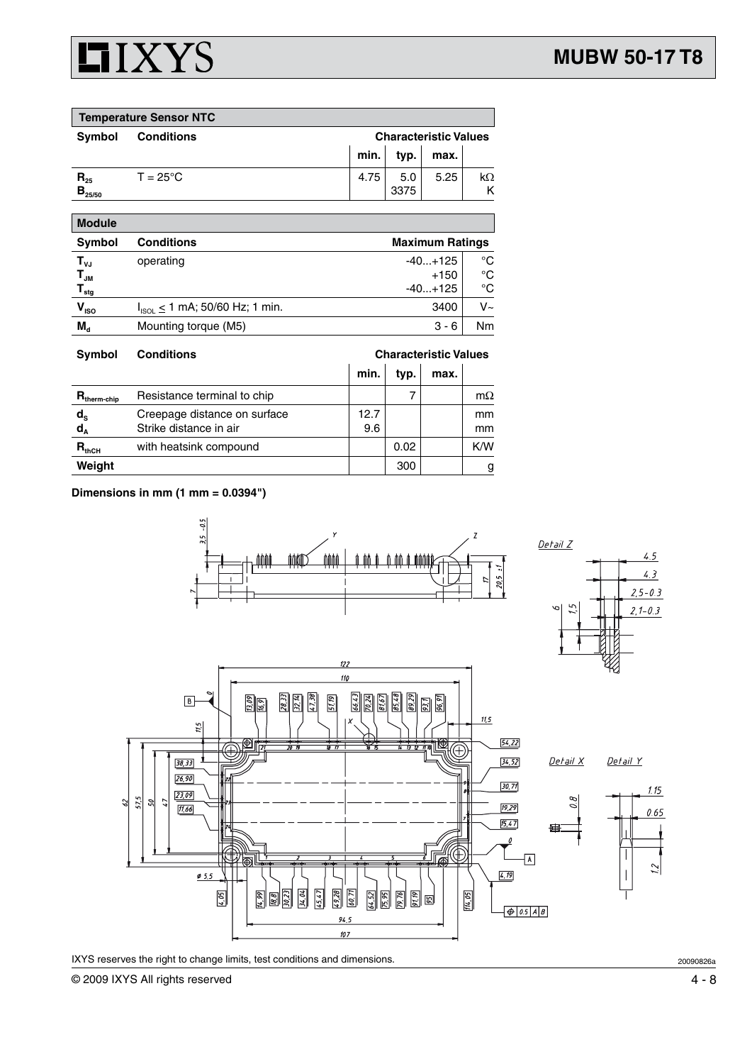

| <b>Temperature Sensor NTC</b>             |                    |      |                              |      |    |  |
|-------------------------------------------|--------------------|------|------------------------------|------|----|--|
| Symbol                                    | <b>Conditions</b>  |      | <b>Characteristic Values</b> |      |    |  |
|                                           |                    | min. | typ.                         | max. |    |  |
| $\mathbf{R}_{25}$<br>$\mathbf{B}_{25/50}$ | $T = 25^{\circ}$ C | 4.75 | 5.0<br>3375                  | 5.25 | kΩ |  |
| <b>Module</b>                             |                    |      |                              |      |    |  |

| <b>Symbol</b>                | <b>Conditions</b>                     |           | <b>Maximum Ratings</b> |  |  |
|------------------------------|---------------------------------------|-----------|------------------------|--|--|
| $T_{\nu J}$                  | operating                             | $-40+125$ | °C                     |  |  |
| $\mathbf{T}_{\mathsf{JM}}$   |                                       | $+150$    | °C                     |  |  |
| ${\mathsf T}_{\textsf{stg}}$ |                                       | $-40+125$ | °C                     |  |  |
| $\mathsf{V}_{\mathsf{ISO}}$  | $I_{ISOL} \le 1$ mA; 50/60 Hz; 1 min. | 3400      | V~                     |  |  |
| $M_{d}$                      | Mounting torque (M5)                  | $3 - 6$   | Nm                     |  |  |

| <b>Symbol</b>                                          | <b>Conditions</b>                                      | <b>Characteristic Values</b> |      |      |                                |
|--------------------------------------------------------|--------------------------------------------------------|------------------------------|------|------|--------------------------------|
|                                                        |                                                        | min.                         | typ. | max. |                                |
| $R_{\text{therm-chip}}$                                | Resistance terminal to chip                            |                              |      |      | $m\Omega$                      |
| $\mathsf{d}_{\mathsf{s}}$<br>$\mathbf{d}_{\mathbf{A}}$ | Creepage distance on surface<br>Strike distance in air | 12.7<br>9.6                  |      |      | <sub>mm</sub><br><sub>mm</sub> |
| $R_{thCH}$                                             | with heatsink compound                                 |                              | 0.02 |      | K/W                            |
| Weight                                                 |                                                        |                              | 300  |      | g                              |

**Dimensions in mm (1 mm = 0.0394")**



IXYS reserves the right to change limits, test conditions and dimensions.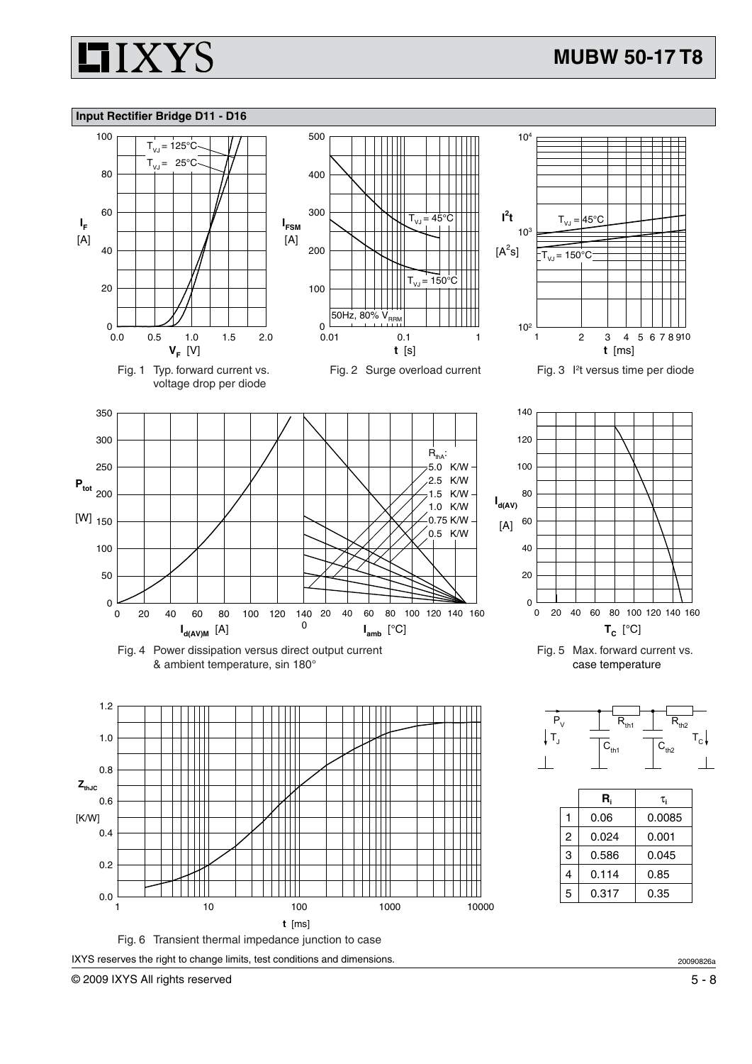

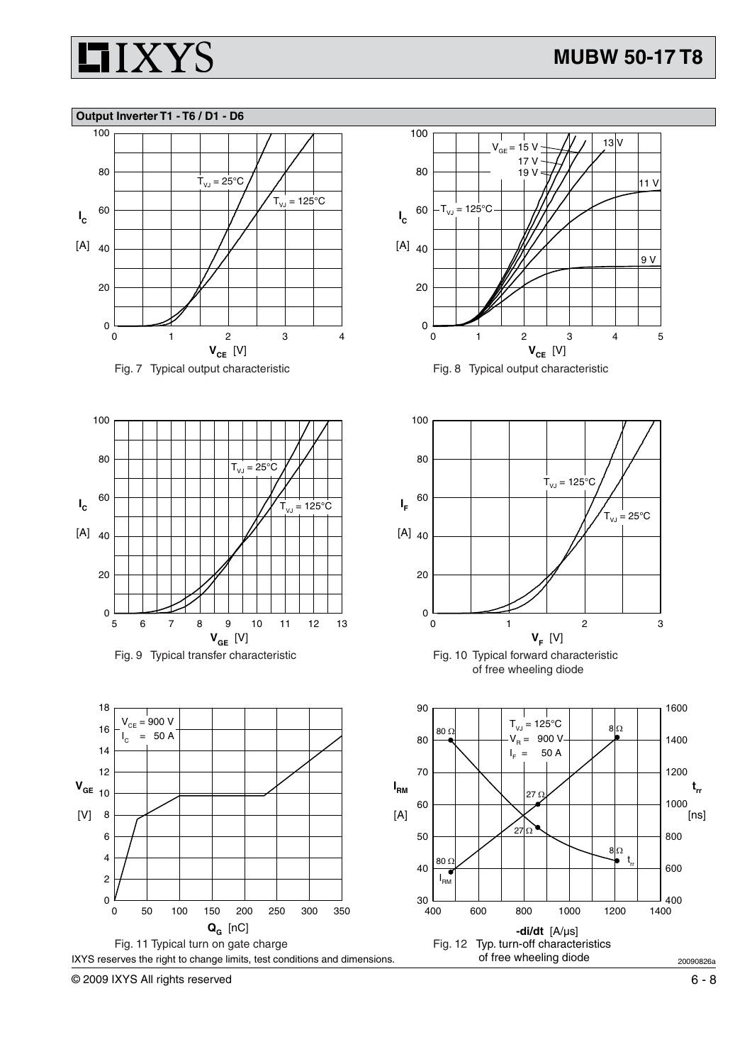

## **Output Inverter T1 - T6 / D1 - D6**









100

 of free wheeling diode



© 2009 IXYS All rights reserved 6 - 8

 $= 900 V$ 

50 A

 $I_{\alpha}$ 

 $0<sup>l</sup>\n  
0$ 

 $[V]$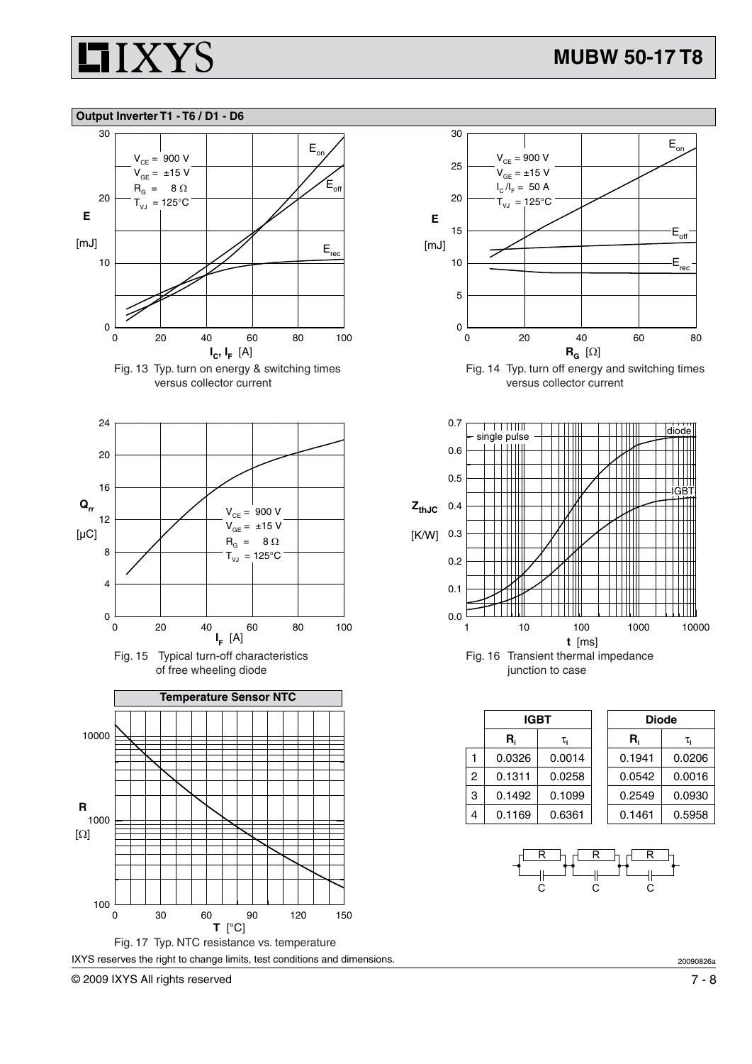

### **Output Inverter T1 - T6 / D1 - D6**











© 2009 IXYS All rights reserved 7 - 8



Fig. 14 Typ. turn off energy and switching times versus collector current



|              | <b>IGBT</b> |        |  | <b>Diode</b> |        |
|--------------|-------------|--------|--|--------------|--------|
|              | R,          | τ.     |  | R.           | τ.     |
| $\mathbf{1}$ | 0.0326      | 0.0014 |  | 0.1941       | 0.0206 |
| 2            | 0.1311      | 0.0258 |  | 0.0542       | 0.0016 |
| 3            | 0.1492      | 0.1099 |  | 0.2549       | 0.0930 |
| 4            | 0.1169      | 0.6361 |  | 0.1461       | 0.5958 |



20090826a